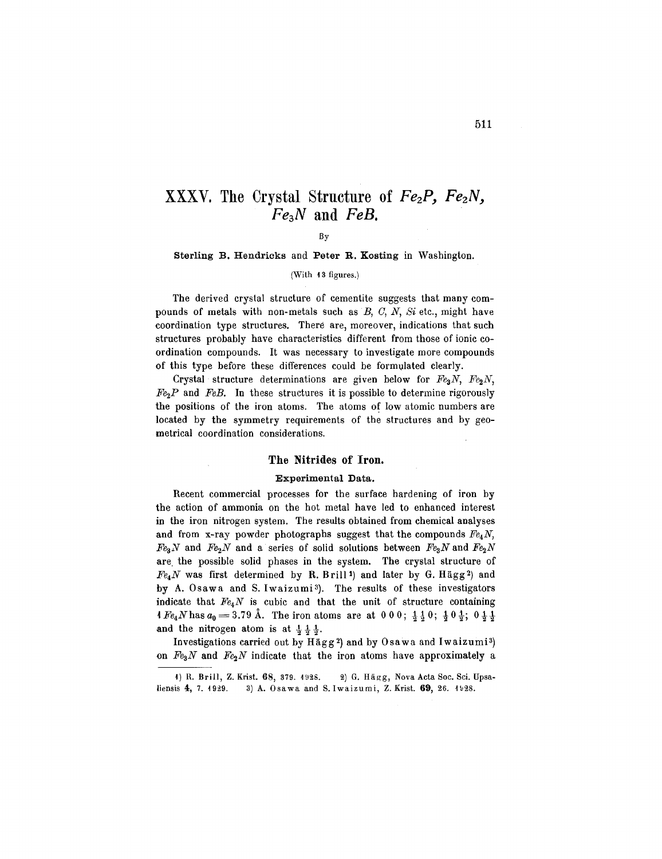# XXXV. The Crystal Structure of *Fez?, FezN, Fe3N* and *FeB.*

By

Sterling B. Hendricks and Peter R. Kosting in Washington.

(With 13 figures.)

The derived crystal structure of cementite suggests that many compounds of metals with non-metals such as *B,* 0, *N, Si* etc., might have coordination type structures. There are, moreover, indications that such structures probably have characteristics different from those of ionic coordination compounds. It was necessary to investigate more compounds of this type before these differences could be formulated clearly.

Crystal structure determinations are given below for  $Fe<sub>3</sub>N$ ,  $Fe<sub>2</sub>N$ ,  $Fe<sub>2</sub>P$  and *FeB*. In these structures it is possible to determine rigorously the positions of the iron atoms. The atoms of low atomic numbers are located by the symmetry requirements of the structures and by geometrical coordination considerations.

## The Nitrides of Iron.

#### Experimental Data.

Recent commercial processes for the surface hardening of iron by the action of ammonia on the hot metal have led to enhanced interest in the iron nitrogen system. The results obtained from chemical analyses and from x-ray powder photographs suggest that the compounds  $Fe<sub>4</sub>N$ ,  $Fe<sub>3</sub>N$  and  $Fe<sub>2</sub>N$  and a series of solid solutions between  $Fe<sub>3</sub>N$  and  $Fe<sub>2</sub>N$ are, the possible solid phases in the system. The crystal structure of  $Fe<sub>4</sub>N$  was first determined by R. Brill<sup>1</sup>) and later by G. Hägg<sup>2</sup>) and by A. Osawa and S.Iwaizumi3). The results of these investigators indicate that *Fe4N* is cubic and that the unit of structure containing  $1 Fe_4 N$  has  $a_0 = 3.79$  Å. The iron atoms are at  $0.00; \; \frac{1}{2} \frac{1}{2} \, 0; \; \frac{1}{2} \, 0 \, \frac{1}{2}; \; 0 \, \frac{1}{2} \, \frac{1}{2}$ and the nitrogen atom is at  $\frac{1}{3}$   $\frac{1}{3}$ .

Investigations carried out by Hägg<sup>2</sup>) and by Osawa and Iwaizumi<sup>3</sup>) on  $Fe<sub>3</sub>N$  and  $Fe<sub>2</sub>N$  indicate that the iron atoms have approximately a

<sup>1)</sup> R. Brill, Z. Krist. 68, 379. 1928. 2) G. Hägg, Nova Acta Soc. Sci. Upsaliensis 4, 7. 1929. 3) A. Osawa and S. Iwaizumi, Z. Krist. 69, 26. 1928.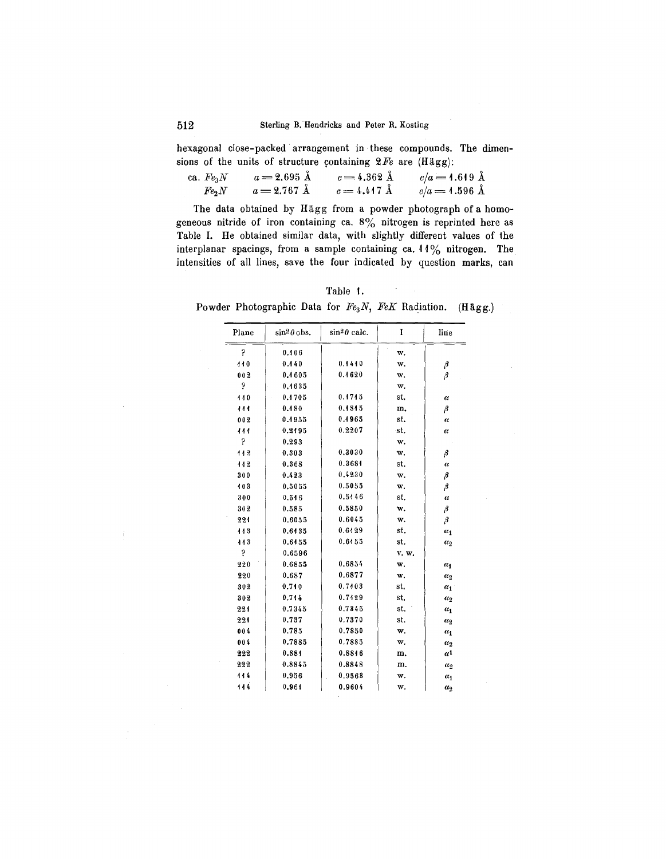hexagonal close-packed arrangement in. these compounds. The dimensions of the units of structure containing  $2Fe$  are  $(Hägg)$ :

| ca. $\mathit{Fe}_{3}N$ | $a = 2.695 \text{ Å}$ | $c = 4.362 \text{ Å}$   | $c/a = 1.619 \text{ Å}$ |
|------------------------|-----------------------|-------------------------|-------------------------|
| $Fe_2N$                | $a = 2.767 \text{ Å}$ | $c = 4.447 \; \rm{\AA}$ | $c/a = 1.596 \text{ Å}$ |

The data obtained by Hägg from a powder photograph of a homogeneous nitride of iron containing ca.  $8\%$  nitrogen is reprinted here as Table I. He obtained similar data, with slightly different values of the interplanar spacings, from a sample containing ca. **11**% nitrogen. The intensities of all lines, save the four indicated by question marks, can

Table 1.

 $\sim$ 

Powder Photographic Data for *Fe3N, FeK* Radiation. (Hagg.)

| Plane | $\sin^2\theta$ obs. | $\sin^2\theta$ calc. | Ι     | line                  |
|-------|---------------------|----------------------|-------|-----------------------|
| b.    | 0.406               |                      | w.    |                       |
| 440   | 0.440               | 0.4440               | w.    | β                     |
| 002   | 0.1605              | 0.4620               | w,    | β                     |
| P     | 0.4635              |                      | w.    |                       |
| 110   | 0.1705              | 0.1715               | st.   | $\alpha$              |
| 111   | 0.480               | 0.4845               | m.    | β                     |
| 002   | 0.1955              | 0.4965               | st.   | $\alpha$              |
| 111   | 0.2195              | 0.2207               | st.   | $\alpha$              |
| P     | 0.293               |                      | w.    |                       |
| 112   | 0.303               | 0.3030               | w.    | β                     |
| 442   | 0.368               | 0.3684               | st.   | α                     |
| 300   | 0.423               | 0.4230               | w.    | β                     |
| 103   | 0.5055              | 0.5055               | w.    | β                     |
| 300   | 0.516               | 0.5146               | st.   | α                     |
| 302   | 0.585               | 0.5850               | w.    | β                     |
| 221   | 0.6055              | 0.6045               | w.    | β                     |
| 113   | 0.6435              | 0.6129               | st.   | $\alpha_1$            |
| 143   | 0.6155              | 0.6455               | st.   | $\alpha_2$            |
| P     | 0.6596              |                      | v. w. |                       |
| 220   | 0.6855              | 0.6854               | w.    | $a_1$                 |
| 220   | 0.687               | 0,6877               | w.    | $\alpha_2$            |
| 302   | 0.740               | 0.7403               | st.   | $\alpha_1$            |
| 302   | 0.744               | 0.7429               | st.   | $\alpha_2$            |
| 224   | 0.7345              | 0.7345               | st.   | $\alpha_1$            |
| 221   | 0.737               | 0.7370               | st.   | $\alpha_2$            |
| 004   | 0.785               | 0.7850               | w.    | $\alpha_1$            |
| 004   | 0.7885              | 0.7885               | w.    | $\alpha_2$            |
| 222   | 0.884               | 0.8846               | m.    | $\alpha$ <sup>1</sup> |
| 222   | 0.8845              | 0.8848               | m.    | $\alpha_2$            |
| 114   | 0.956               | 0.9563               | w.    | $\alpha_1$            |
| 114   | 0.964               | 0.9604               | w.    | $\alpha_2$            |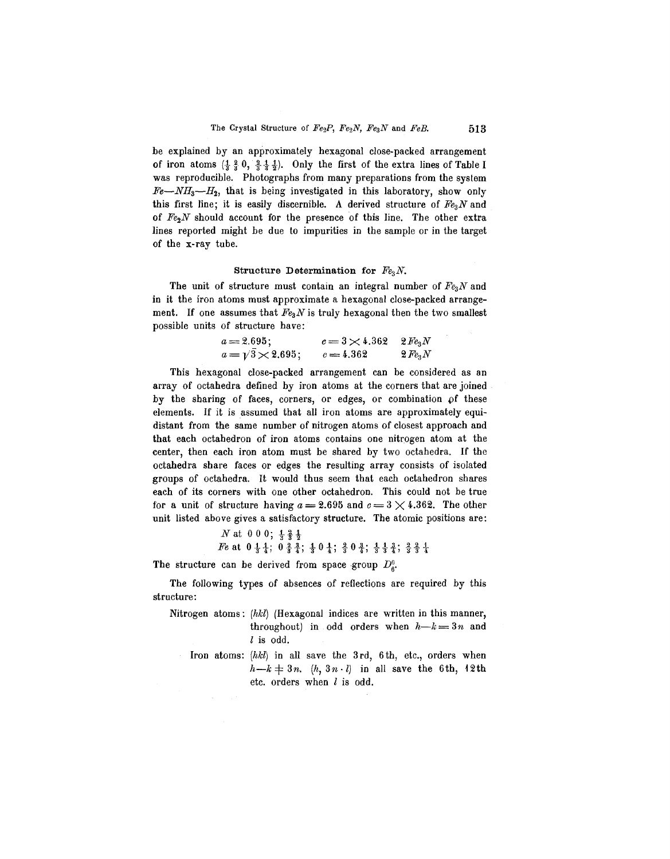be explained by an approximately hexagonal close-packed arrangement of iron atoms  $(\frac{1}{3}, \frac{2}{3}, 0, \frac{2}{3}, \frac{1}{3}, \frac{1}{2})$ . Only the first of the extra lines of Table I was reproducible. Photographs from many preparations from the system  $Fe-MH_3-H_2$ , that is being investigated in this laboratory, show only this first line; it is easily discernible. A derived structure of *E'e3N*and of  $Fe<sub>2</sub>N$  should account for the presence of this line. The other extra lines reported might be due to impurities in the sample or in the target of the x-ray tube.

#### Structure Determination for *Fe3N.*

The unit of structure must contain an integral number of *Fe3N* and in it the iron atoms must approximate a hexagonal close-packed arrangement. If one assumes that  $Fe<sub>3</sub>N$  is truly hexagonal then the two smallest possible units of structure have:

| $a = 2.695;$                    | $c = 3 \times 4.362$ $2 Fe3N$ |              |
|---------------------------------|-------------------------------|--------------|
| $a = \frac{1}{3} \times 2.695;$ | $c = 4.362$                   | $2 \, Fe_3N$ |

This hexagonal close-packed arrangement can be considered as an array of octahedra defined by iron atoms at the corners that are joined by the sharing of faces, corners, or edges, or combination  $\rho f$  these elements. If it is assumed that all iron atoms are approximately equidistant from the same number of nitrogen atoms of closest approach and that each octahedron of iron atoms contains one nitrogen atom at the center, then each iron atom must be shared by two octahedra. If the octahedra share faces or edges the resulting array consists of isolated groups of octahedra. It would thus seem that each octahedron shares each of its corners with one other octahedron. This could not be true for a unit of structure having  $a = 2.695$  and  $c = 3 \times 4.362$ . The other unit listed above gives a satisfactory structure. The atomic positions are:

```
N at 0 0 0; \frac{1}{3} \frac{2}{3}.
Ivat 0.00, \frac{1}{3} \frac{1}{3}<br>Fe at 0\frac{1}{4}, \frac{1}{4}; 0\frac{3}{8}, \frac{3}{4}; 0\frac{1}{4}; \frac{2}{3}, 0\frac{3}{4}; \frac{1}{3}, \frac{3}{4}, \frac{3}{4}, \frac{3}{3}
```
The structure can be derived from space group  $D_{\varepsilon}^{0}$ .

The following types of absences of reflections are required by this structure:

- Nitrogen atoms: *(hkl)* (Hexagonal indices are written in this manner, throughout) in odd orders when  $h-k=3n$  and *l* is odd.
	- Iron atoms:  $(hkl)$  in all save the 3rd, 6th, etc., orders when  $h-k\neq 3n$ .  $(h,3n\cdot l)$  in all save the 6th, 12th etc. orders when *l* is odd.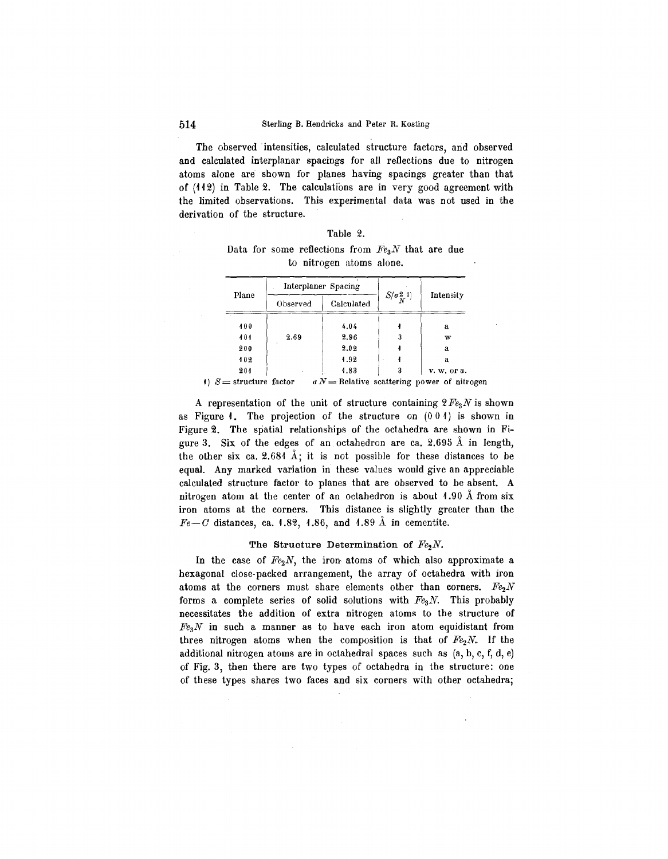The observed intensities, calculated structure factors, and observed and calculated interplanar spacings for all reflections due to nitrogen atoms alone are shown for planes having spacings greater than that of (H 2) in Table 2. The calculations are in very good agreement with the limited observations. This experimental data was not used in the derivation of the structure.

| Table |  |
|-------|--|
|-------|--|

Data for some reflections from  $Fe<sub>3</sub>N$  that are due to nitrogen atoms alone.

|                           |       |                        | Interplaner Spacing |                                    |                                                   |  |
|---------------------------|-------|------------------------|---------------------|------------------------------------|---------------------------------------------------|--|
|                           | Plane | Calculated<br>Observed |                     | $S/\sigma_{\chi}^2$ <sup>1</sup> ) | Intensity                                         |  |
|                           | 400   |                        | 4.04                |                                    | a                                                 |  |
|                           | 101   | 2.69                   | 2.96                | 3                                  | w                                                 |  |
|                           | 200   |                        | 2.02                |                                    | a                                                 |  |
|                           | 102   |                        | 1.92                |                                    | а.                                                |  |
|                           | 201   |                        | 4.83                | 3                                  | v. w. or a.                                       |  |
| () $S =$ structure factor |       |                        |                     |                                    | $\sigma N$ = Relative scattering power of nitrog- |  |

A representation of the unit of structure containing  $2 Fe<sub>3</sub>N$  is shown as Figure  $\ell$ . The projection of the structure on  $(0\ 0\ 1)$  is shown in Figure 2. The spatial relationships of the octahedra are shown in Figure 3. Six of the edges of an octahedron are ca. 2.695  $\AA$  in length, the other six ca. 2.684  $\AA$ ; it is not possible for these distances to be equal. Any marked variation in these values would give an appreciable calculated structure factor to planes that are observed to be absent. A nitrogen atom at the center of an octahedron is about  $1.90 \text{ Å}$  from six iron atoms at the corners. This distance is slightly greater than the  $Fe-C$  distances, ca. 1.82, 1.86, and 1.89  $\AA$  in cementite.

## The Structure Determination of  $Fe<sub>2</sub>N$ .

In the case of  $Fe<sub>2</sub>N$ , the iron atoms of which also approximate a hexagonal close-packed arrangement, the array of octahedra with iron atoms at the corners must share elements other than corners. *Fe2N* forms a complete series of solid solutions with *FegN.* This probably necessitates the addition of extra nitrogen atoms to the structure of *FeaN* in such a manner as to have each iron atom equidistant from three nitrogen atoms when the composition is that of  $Fe<sub>2</sub>N$ . If the additional nitrogen atoms are in octahedral spaces such as (a, b, c, f, d, e) of Fig. 3, then there are two types of octahedra in the structure: one of these types shares two faces and six corners with other octahedra;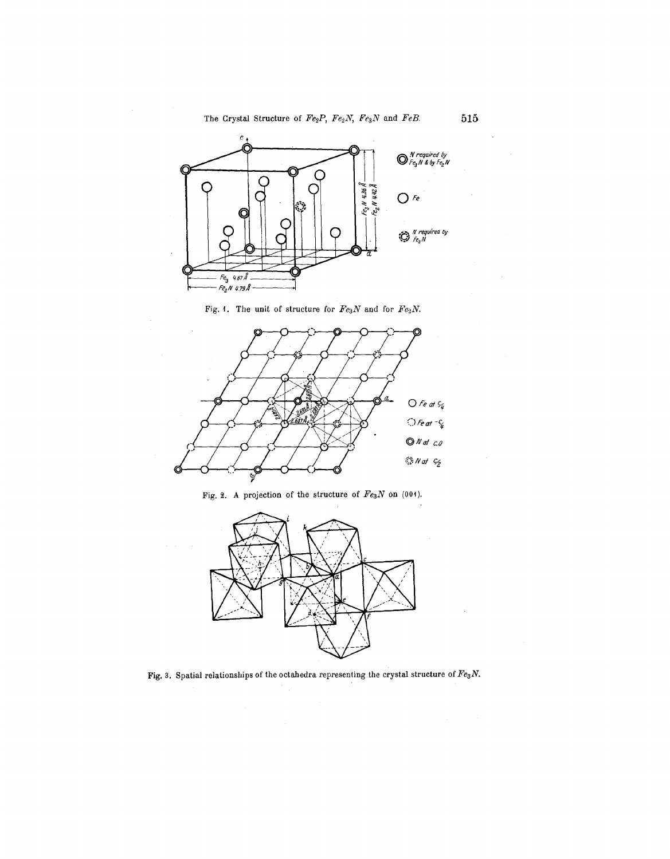

Fig. 1. The unit of structure for  $Fe_3N$  and for  $Fe_2N$ .



Fig. 2. A projection of the structure of  $Fe_3N$  on (004).



Fig. 3. Spatial relationships of the octahedra representing the crystal structure of  $Fe<sub>3</sub>N$ .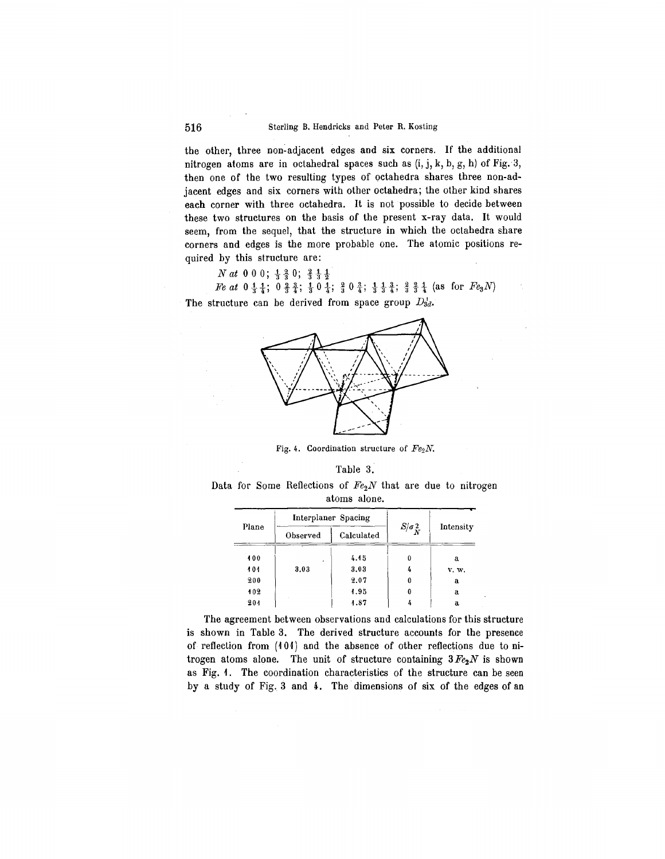the other, three non-adjacent edges and six corners. If the additional nitrogen atoms are in octahedral spaces such as  $(i, j, k, b, g, h)$  of Fig. 3, then one of the two resulting types of octahedra shares three non-adjacent edges and six corners with other octahedra; the other kind shares each corner with three octahedra. It is not possible to decide between these two structures on the basis of the present x-ray data. It would seem, from the sequel, that the structure in which the octahedra share corners and edges is the more probable one. The atomic positions required by this structure are:

*Nat* 000;  $\frac{1}{3}$  $\frac{2}{3}$ 0;  $\frac{2}{3}$  $\frac{1}{3}$  $\frac{1}{2}$ 

*Fe at*  $0 \frac{1}{3} \frac{1}{4}$ ;  $0 \frac{2}{3} \frac{3}{4}$ ;  $\frac{1}{3} 0 \frac{1}{4}$ ;  $\frac{3}{3} 0 \frac{3}{4}$ ;  $\frac{1}{3} \frac{1}{3} \frac{3}{4}$ ;  $\frac{3}{3} \frac{3}{4} \frac{1}{4}$  (as for  $Fe_3N$ )





Fig. 4. Coordination structure of *Fe2N.*



Data for Some Reflections of *Fe2N* that are due to nitrogen atoms alone.

|       |          | Interplaner Spacing |                          |           |  |
|-------|----------|---------------------|--------------------------|-----------|--|
| Plane | Observed | Calculated          | $S/\sigma_{\tilde{N}}^2$ | Intensity |  |
| 400   |          | 4.15                | 0                        | a         |  |
| 101   | 3.03     | 3.03                |                          | v. w.     |  |
| 200   |          | 2.07                | 0                        | a         |  |
| 102   |          | 4.95                | 0                        | a         |  |
| 201   |          | 4.87                |                          | a         |  |

The agreement between observations and calculations for this structure is shown in Table 3. The derived structure accounts for the presence of reflection from (101) and the absence of other reflections due to nitrogen atoms alone. The unit of structure containing  $3Fe<sub>2</sub>N$  is shown as Fig. 1. The coordination characteristics of the structure can be seen by a study of Fig. 3 and 4. The dimensions of six of the edges of an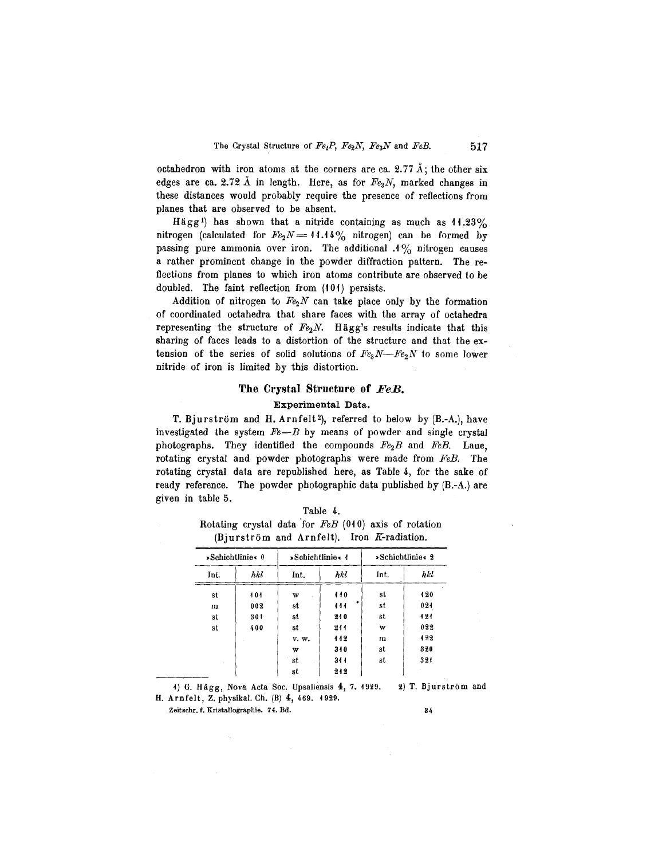octahedron with iron atoms at the corners are ca. 2.77  $\AA$ ; the other six edges are ca. 2.72 Å in length. Here, as for  $Fe<sub>3</sub>N$ , marked changes in these distances would probably require the presence of reflections from planes that are observed to be absent.

Hägg<sup>1</sup>) has shown that a nitride containing as much as  $11.23\%$ nitrogen (calculated for  $Fe_2N = 11.14\%$  nitrogen) can be formed by passing pure ammonia over iron. The additional  $.1\%$  nitrogen causes a rather prominent change in the powder diffraction pattern. The reflections from planes to which iron atoms contribute are observed to be doubled. The faint reflection from (101) persists.

Addition of nitrogen to  $Fe<sub>2</sub>N$  can take place only by the formation of coordinated octahedra that share faces with the array of octahedra representing the structure of  $Fe<sub>2</sub>N$ . Hägg's results indicate that this sharing of faces leads to a distortion of the structure and that the extension of the series of solid solutions of  $Fe<sub>3</sub>N-Fe<sub>2</sub>N$  to some lower nitride of iron is limited by this distortion.

#### **The Crystal Structure of** *FeB.*

#### Experimental Data.

T. Bjurström and H. Arnfelt<sup>2</sup>), referred to below by (B.-A.), have investigated the system *Fe-B* by means of powder and single crystal photographs. They identified the compounds *Fe2B* and *FeB.* Laue, rotating crystal and powder photographs were made from *FeB.* The rotating crystal data are republished here, as Table 4, for the sake of ready reference. The powder photographic data published by  $(B.-A.)$  are given in table 5.

Table 4.

|      |                  | Rotating crystal data for $FeB$ (040) axis of rotation<br>(Bjurström and Arnfelt). Iron K-radiation. |     |      |                   |
|------|------------------|------------------------------------------------------------------------------------------------------|-----|------|-------------------|
|      | »Schichtlinie« 0 | $\blacktriangleright$ Schichtlinie < 4                                                               |     |      | » Schichtlinie« 2 |
| Int. | hkl              | Int.                                                                                                 | hkl | Int. | hki               |
| st   | 101              | w                                                                                                    | 110 | st   | 420               |
| m    | 002              | st                                                                                                   | 444 | st   | 024               |
| st   | 301              | st                                                                                                   | 210 | st   | 121               |
| st   | 400              | st                                                                                                   | 211 | w    | 022               |
|      |                  | v. w.                                                                                                | 112 | m    | 122               |
|      |                  | w                                                                                                    | 340 | st   | 320               |
|      |                  | st                                                                                                   | 344 | st   | 321               |
|      |                  | st                                                                                                   | 212 |      |                   |

1) G. Hagg, Nova Acta Soc. Upsaliensis **4,** 7. 1929. H. Arnfelt, Z. physikal. Ch. (B) **4,** 469. 1929. 2) T. Bjurstrom and

Zeitschr. f. Kristallographie. 74. Bd.

34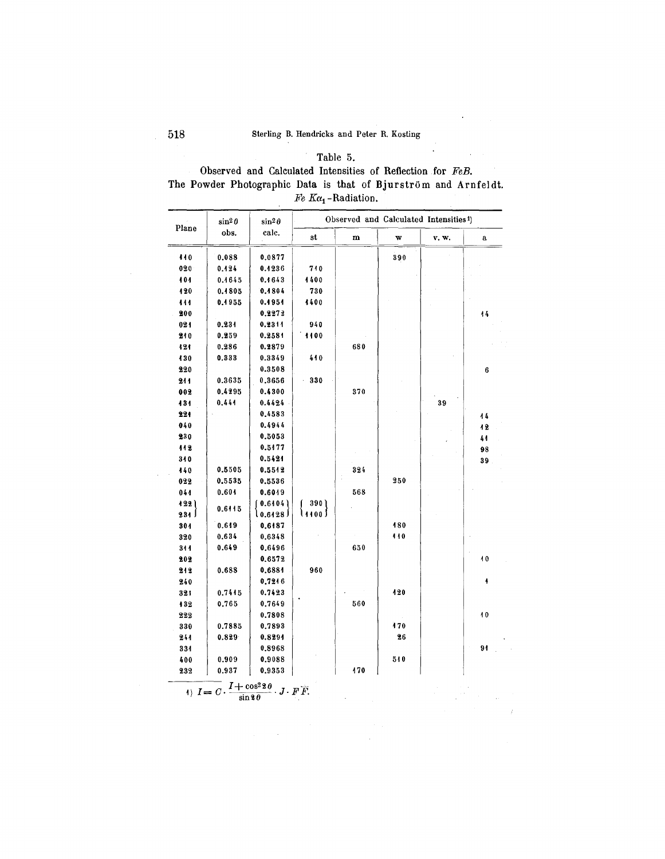$\ddot{\phantom{a}}$ 

# Table 5. Observed and Calculated Intensities of Reflection for *FeB.* The Powder Photographic Data is that of Bjurström and Arnfeldt.  $Fe$   $K\alpha_1$ -Radiation.

| Plane | $\sin^2\theta$ | $\sin^2\theta$                                                                                 |         | Observed and Calculated Intensities <sup>1</sup> ) |     |       |             |
|-------|----------------|------------------------------------------------------------------------------------------------|---------|----------------------------------------------------|-----|-------|-------------|
|       | obs.           | calc.                                                                                          | st      | $\mathbf m$                                        | w   | v. w. | $\mathbf a$ |
| 440   | 0.088          | 0.0877                                                                                         |         |                                                    | 390 |       |             |
| 020   | 0.124          | 0.1236                                                                                         | 710     |                                                    |     |       |             |
| 101   | 0.4645         | 0.4643                                                                                         | 4400    |                                                    |     |       |             |
| 420   | 0.1805         | 0.1804                                                                                         | 730     |                                                    |     |       |             |
| 444   | 0.4955         | 0.4954                                                                                         | 1400    |                                                    |     |       |             |
| 200   |                | 0.2272                                                                                         |         |                                                    |     |       | 44          |
| 021   | 0.234          | 0.2311                                                                                         | 940     |                                                    |     |       |             |
| 210   | 0.259          | 0.2581                                                                                         | 1100    |                                                    |     |       |             |
| 121   | 0.286          | 0.2879                                                                                         |         | 680                                                |     |       |             |
| 430   | 0.333          | 0.3349                                                                                         | 410     |                                                    |     |       |             |
| 220   |                | 0.3508                                                                                         |         |                                                    |     |       | $\bf 6$     |
| 211   | 0.3635         | 0.3656                                                                                         | 330     |                                                    |     |       |             |
| 002   | 0.4295         | 0.4300                                                                                         |         | 370                                                |     |       |             |
| 434   | 0.444          | 0.4424                                                                                         |         |                                                    |     | 39    |             |
| 224   |                | 0.4583                                                                                         |         |                                                    |     |       | 44          |
| 040   |                | 0.4944                                                                                         |         |                                                    |     |       | 12          |
| 230   |                | 0.5053                                                                                         |         |                                                    |     |       | 41          |
| 112   |                | 0.5477                                                                                         |         |                                                    |     |       | 98          |
| 340   |                | 0.5424                                                                                         |         |                                                    |     |       | 39          |
| 440   | 0.5505         | 0.5542                                                                                         |         | 324                                                |     |       |             |
| 022   | 0.5535         | 0.5536                                                                                         |         |                                                    | 250 |       |             |
| 044   | 0.604          | 0.6019                                                                                         |         | 568                                                |     |       |             |
| 422)  |                | 0.6404                                                                                         | 390 J   |                                                    |     |       |             |
| 231   | 0.6415         | l 0.6428 J                                                                                     | \⊿∢օօ J |                                                    |     |       |             |
| 304   | 0.649          | 0.6187                                                                                         |         |                                                    | 180 |       |             |
| 320   | 0.634          | 0.6348                                                                                         |         |                                                    | 110 |       |             |
| 311   | 0.649          | 0.6496                                                                                         |         | 650                                                |     |       |             |
| 202   |                | 0.6572                                                                                         |         |                                                    |     |       | 10          |
| 212   | 0.688          | 0.6881                                                                                         | 960     |                                                    |     |       |             |
| 240   |                | 0.7246                                                                                         |         |                                                    |     |       | 4           |
| 321   | 0.7445         | 0.7423                                                                                         |         |                                                    | 120 |       |             |
| 132   | 0.765          | 0.7649                                                                                         |         | 560                                                |     |       |             |
| 222   |                | 0.7808                                                                                         |         |                                                    |     |       | 40          |
| 330   | 0.7885         | 0.7893                                                                                         |         |                                                    | 470 |       |             |
| 241   | 0.829          | 0.8294                                                                                         |         |                                                    | 26  |       |             |
| 334   |                | 0.8968                                                                                         |         |                                                    |     |       | 91          |
| 400   | 0.909          | 0.9088                                                                                         |         |                                                    | 510 |       |             |
| 232   | 0.937          | 0.9353                                                                                         |         | 470                                                |     |       |             |
|       |                | (1) $I = C \cdot \frac{I + \cos^2 2\theta}{\sin 2\theta} \cdot J \cdot F \cdot \overline{F}$ . |         |                                                    |     |       |             |

 $\mathbf{r}$ 

 $\overline{a}$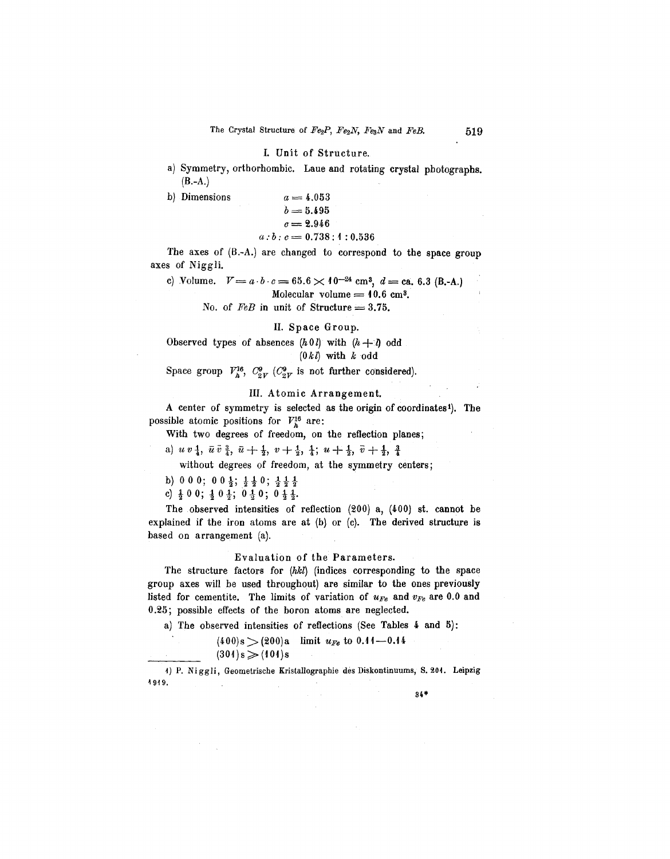## I. Unit of Structu

a) Symmetry, orthorhombic. Laue and rotating crystal photographs.  $(B.-A.)$ 

b) Dimensions

$$
a = 4.053
$$
  
\n
$$
b = 5.495
$$
  
\n
$$
c = 2.946
$$
  
\n
$$
a:b:c = 0.738:4:0.536
$$

The axes of (B.-A.) are changed to correspond to the space group axes of Niggli.

c) Volume.  $V = a \cdot b \cdot c = 65.6 \times 10^{-24}$  cm<sup>3</sup>,  $d = ca, 6.3$  (B.-A.) Molecular volume  $= 10.6$  cm<sup>3</sup>.

No. of  $FeB$  in unit of Structure  $= 3.75$ .

#### II. Space Group.

Observed types of absences  $(h0 l)$  with  $(h+l)$  odd  $(0 k l)$  with  $k$  odd

Space group  $V_h^{16}$ ,  $C_{2V}^9$  *(C<sub>2V</sub>* is not further considered).

## III. Atomic Arrangement.

A center of symmetry is selected as the origin of coordinates<sup>1</sup>). The possible atomic positions for  $V_h^{16}$  are:

With two degrees of freedom, on the reflection planes;

a)  $u v_1^1$ ,  $\bar{u} \bar{v}_1^3$ ,  $\bar{u} + \frac{1}{2}$ ,  $v + \frac{1}{2}$ ,  $\frac{1}{4}$ ;  $u + \frac{1}{2}$ ,  $\bar{v} + \frac{1}{2}$ ,  $\frac{3}{4}$ 

without degrees of freedom, at the symmetry centers;

b) 000; 00 $\frac{1}{3}$ ;  $\frac{1}{2}$  $\frac{1}{2}$ 0;  $\frac{1}{3}$  $\frac{1}{2}$  $\frac{1}{2}$ 

c)  $\frac{1}{2}$  0 0;  $\frac{1}{2}$  0  $\frac{1}{2}$ ; 0  $\frac{1}{2}$  0; 0  $\frac{1}{2}$   $\frac{1}{2}$ 

The observed intensities of reflection (200) a, (400) st. cannot he explained if the iron atoms are at (b) or (c). The derived structure is based on arrangement (a).

## Evaluation of the Parameters.

The structure factors for *(hkl)* (indices corresponding to the space group axes will be used throughout) are similar to the ones previously listed for cementite. The limits of variation of  $u_{Fe}$  and  $v_{Fe}$  are 0.0 and 0.25; possible effects of the boron atoms are neglected.

a) The observed intensities of reflections (See Tables 4 and 5):

 $(400)s$   $>(200)a$  limit  $u_{Fe}$  to 0.11 -0.14

 $(301)s \geq (101)s$ 

1) P. Niggli, Geometrische Kristallographie des Diskontinuums, S. 201. Leipzig ~919.

34\*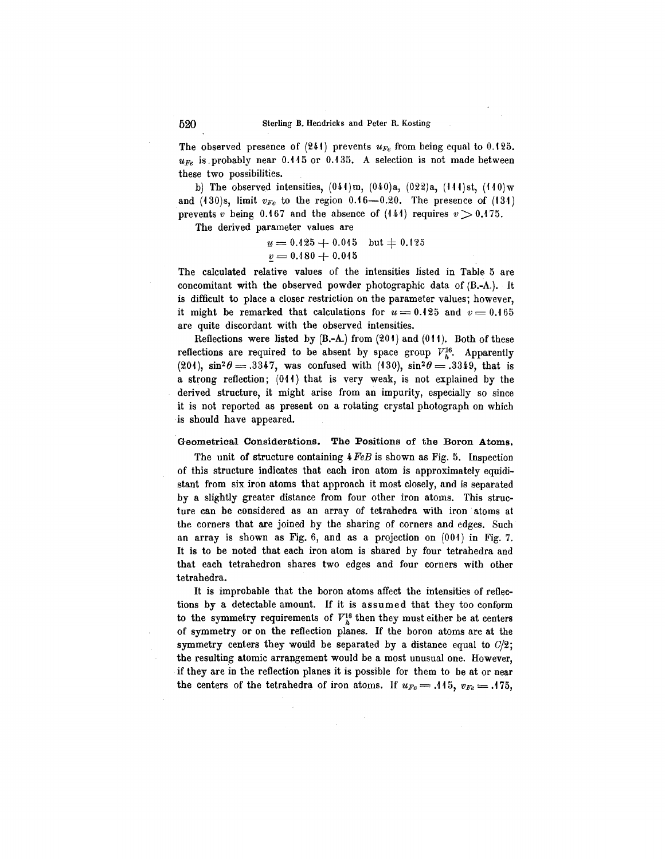The observed presence of  $(241)$  prevents  $u_{Fe}$  from being equal to 0.125.  $u_{Fe}$  is probably near 0.115 or 0.135. A selection is not made between these two possibilities.

b) The observed intensities,  $(044)$ m,  $(040)a$ ,  $(022)a$ ,  $(144)$ st,  $(440)$ w and  $(130)s$ , limit  $v_{Fe}$  to the region  $0.16-0.20$ . The presence of  $(131)$ prevents *v* being 0.167 and the absence of  $(141)$  requires  $v > 0.175$ .

The derived parameter values are

$$
\begin{array}{l}\n\underline{u} = 0.125 + 0.045 \quad \text{but} \neq 0.125 \\
\underline{v} = 0.180 + 0.045\n\end{array}
$$

.

The calculated relative values of the intensities listed in Table 5 are concomitant with the observed powder photographic data of (B.-A.). It is difficult to place a closer restriction on the parameter values; however, it might be remarked that calculations for  $u = 0.125$  and  $v = 0.165$ are quite discordant with the observed intensities.

Reflections were listed by  $(B.-A.)$  from  $(201)$  and  $(011)$ . Both of these reflections are required to be absent by space group  $V_h^{16}$ . Apparently (201),  $\sin^2 \theta = .3347$ , was confused with (130),  $\sin^2 \theta = .3349$ , that is a strong reflection; (01f) that is very weak, is not explained by the derived structure, it might arise from an impurity, especially so since it is not reported as present on a rotating crystal photograph on which is should have appeared.

## Geometrical Considerations. The Positions of the Boron Atoms.

The unit of structure containing 4*FeB* is shown as Fig. 5. Inspection of this structure indicates that each iron atom is approximately equidistant from six iron atoms that approach it most closely, and is separated by a slightly greater distance from four other iron atoms. This structure can be considered as an array of tetrahedra with iron atoms at the corners that are joined by the sharing of corners and edges. Such an array is shown as Fig. 6, and as a projection on (001) in Fig. 7. It is to be noted that each iron atom is shared by four tetrahedra and that each tetrahedron shares two edges and four corners with other tetrahedra.

It is improbable that the boron atoms affect the intensities of reflections by a detectable amount. If it is assumed that they too conform to the symmetry requirements of  $V_h^{16}$  then they must either be at centers of symmetry or on the reflection planes. If the boron atoms are at the symmetry centers they would be separated by a distance equal to  $C/2$ ; the resulting atomic arrangement would be a most unusual one. However, if they are in the reflection planes it is possible for them to be at or near the centers of the tetrahedra of iron atoms. If  $u_{Fe} = .115$ ,  $v_{Fe} = .175$ ,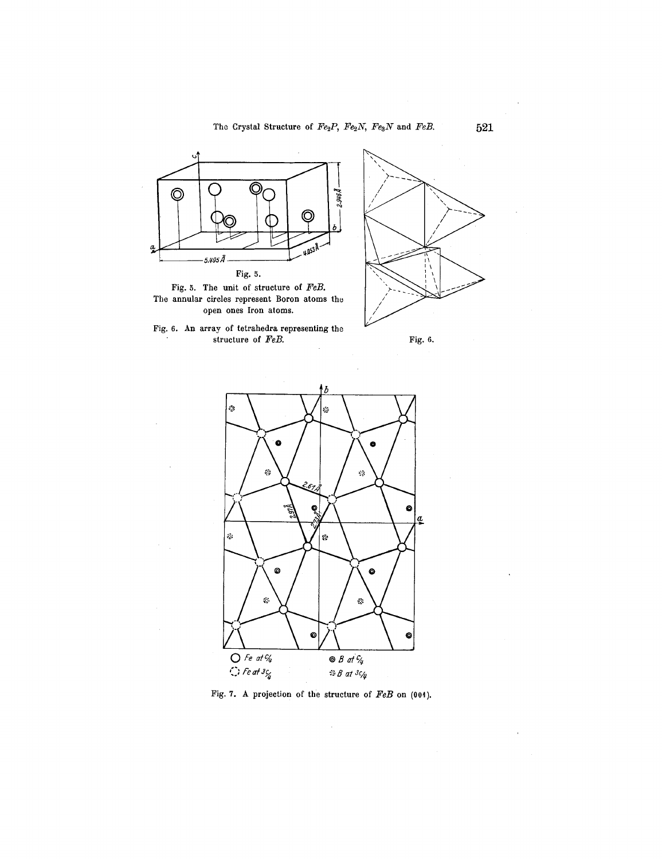













 $\hat{\boldsymbol{\beta}}$ 

 $\ddot{\phantom{a}}$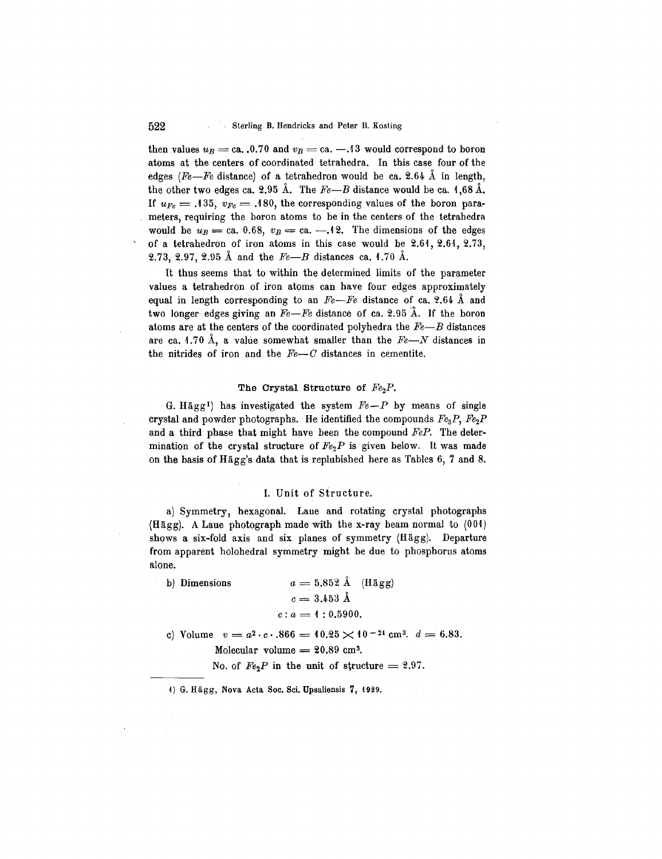then values  $u_B = ca.$ . 0.70 and  $v_B = ca. -13$  would correspond to boron atoms at the centers of coordinated tetrahedra. In this case four of the edges *(Fe-Fe* distance) of a tetrahedron would be ca. 2.64  $\AA$  in length, the other two edges ca. 2.95  $\AA$ . The  $Fe-B$  distance would be ca. 1,68  $\AA$ . If  $u_{Fe} = .135$ ,  $v_{Fe} = .180$ , the corresponding values of the boron parameters, requiring the boron atoms to be in the centers of the tetrahedra would be  $u_B =$  ca. 0.68,  $v_B =$  ca.  $-.12$ . The dimensions of the edges of a tetrahedron of iron atoms in this case would be  $2.61, 2.61, 2.73$ , **2.73, 2.97, 2.95 Å and the**  $Fe-B$  **distances ca. 1.70 Å.** 

It thus seems that to within the determined limits of the parameter values a tetrahedron of iron atoms can have four edges approximately equal in length corresponding to an  $Fe$ - $Fe$  distance of ca. 2.64 Å and two longer edges giving an  $Fe$ -Fe distance of ca. 2.95  $\AA$ . If the boron atoms are at the centers of the coordinated polyhedra the *Fe-B* distances are ca. 1.70 Å, a value somewhat smaller than the  $Fe$ — $N$  distances in the nitrides of iron and the  $Fe-C$  distances in cementite.

#### The Crystal Structure of  $Fe<sub>2</sub>P$ .

G. Hägg<sup>1</sup>) has investigated the system  $Fe-P$  by means of single crystal and powder photographs. He identified the compounds  $Fe<sub>3</sub>P$ ,  $Fe<sub>2</sub>P$ and a third phase that might have been the compound *FeP.* The determination of the crystal structure of  $Fe<sub>2</sub>P$  is given below. It was made on the basis of Hägg's data that is replubished here as Tables  $6, 7$  and  $8.$ 

#### I. Unit of Structure.

a) Symmetry, hexagonal. Laue and rotating crystal photographs (Hagg). A Laue photograph made with the x-ray beam normal to (001) shows a six-fold axis and six planes of symmetry (Hagg). Departure from apparent holohedral symmetry might be due to phosphorus atoms alone.

| b) Dimensions | $a = 5.852 \text{ Å}$ (Hägg) |
|---------------|------------------------------|
|               | $c = 3.453 \text{ Å}$        |
|               | $c: a = 1: 0.5900.$          |
|               |                              |

- c) Volume  $v = a^2 \cdot c \cdot .866 = 10.25 \times 10^{-24}$  cm<sup>3</sup>.  $d = 6.83$ . Molecular volume  $= 20.89$  cm<sup>3</sup>.
	- No. of  $Fe<sub>2</sub>P$  in the unit of structure = 2.97.

1) G. Hägg, Nova Acta Soc. Sci. Upsaliensis 7, 1929.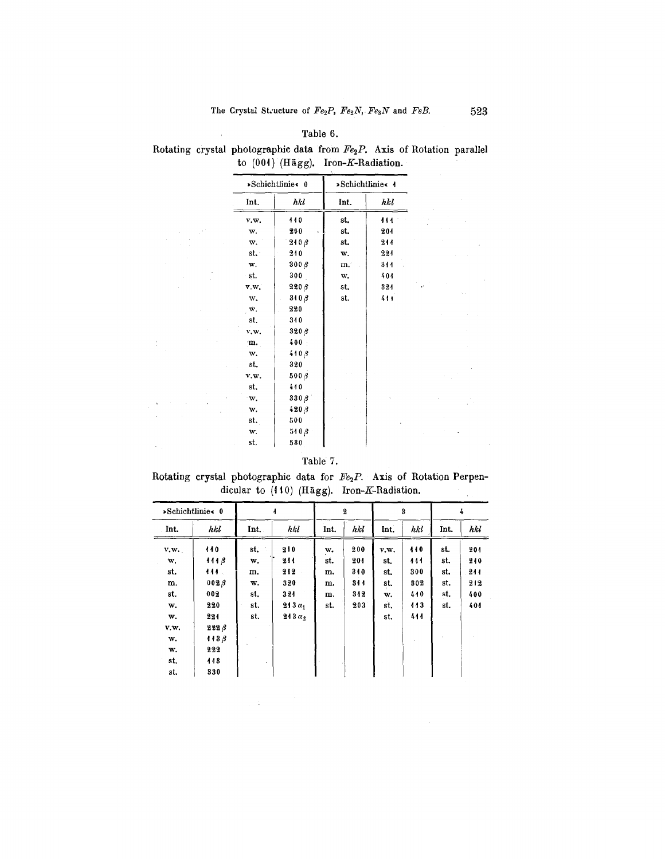## Table 6.

 $\rightarrow$ 

 $\frac{1}{2}$ 

 $\lambda_{\rm{eff}}$ 

Rotating crystal photographic data from  $Fe<sub>2</sub>P$ . Axis of Rotation parallel to  $(001)$  (Hägg). Iron-K-Radiation.

|              | »Schichtlinie« 0 |      | »Schichtlinie« 4 |  |
|--------------|------------------|------|------------------|--|
| Int.         | hkl              | Int. | hkl              |  |
| v.w.         | 110              | st.  | 444              |  |
| w.           | 200              | st.  | 204              |  |
| w.           | $210\beta$       | st.  | 211              |  |
| st.          | 210              | w.   | 221              |  |
| w.           | $300\beta$       | m.   | 311              |  |
| ∙st.         | 300              | w.   | 404              |  |
| v.w.         | $220\,\beta$     | st.  | 324              |  |
| w.           | $310\beta$       | st.  | 411              |  |
| $\mathbf{w}$ | 220              |      |                  |  |
| st.          | 310              |      |                  |  |
| v.w.         | $320\,\beta$     |      |                  |  |
| m.           | 400              |      |                  |  |
| w.           | $410\beta$       |      |                  |  |
| st.          | 320              |      |                  |  |
| v.w.         | $500\beta$       |      |                  |  |
| st.          | 410              |      |                  |  |
| W.           | 330 B            |      |                  |  |
| w.           | $420\beta$       |      |                  |  |
| st.          | 500              |      |                  |  |
| w.           | $510\beta$       |      |                  |  |
| st.          | 530              |      |                  |  |

## Table 7.

Rotating crystal photographic data for  $Fe<sub>2</sub>P$ . Axis of Rotation Perpendicular to  $(110)$  (Hägg). Iron-K-Radiation.  $\frac{1}{2}$ 

|      | »Schichtlinie« 0 |      |               |      | $\overline{\mathbf{2}}$ |      | 3   |      | 4   |
|------|------------------|------|---------------|------|-------------------------|------|-----|------|-----|
| Int. | hkl              | Int. | hkl           | Int. | hkl                     | Int. | hkl | Int. | hkl |
| v.w. | 440              | st.  | 210           | w.   | 200                     | v.w. | 440 | st.  | 201 |
| w.   | 1118             | w.   | 244           | st.  | 201                     | st.  | 111 | st.  | 240 |
| st.  | 444.             | m.   | 212           | m.   | 310                     | st.  | 300 | st.  | 211 |
| m.   | $002\beta$       | w.   | 320           | m.   | 311                     | st.  | 302 | st.  | 212 |
| st.  | 002              | st.  | 321           | m.   | 312                     | w.   | 440 | st.  | 400 |
| w.   | 220              | st.  | $213\alpha_1$ | st.  | 203                     | st.  | 113 | st.  | 404 |
| w.   | 221              | st.  | $213\alpha$   |      |                         | st.  | 444 |      |     |
| v.w. | $222\beta$       |      |               |      |                         |      |     |      |     |
| w.   | 443.3            |      |               |      |                         |      |     |      |     |
| w.   | 222              |      |               |      |                         |      |     |      |     |
| st.  | 143              |      |               |      |                         |      |     |      |     |
| st.  | 330              |      |               |      |                         |      |     |      |     |

 $\label{eq:2.1} \frac{1}{\sqrt{2}}\sum_{i=1}^n\frac{1}{\sqrt{2\pi}}\left(\frac{1}{\sqrt{2\pi}}\right)^2\left(\frac{1}{\sqrt{2\pi}}\right)^2.$ 

 $\ddot{\phantom{a}}$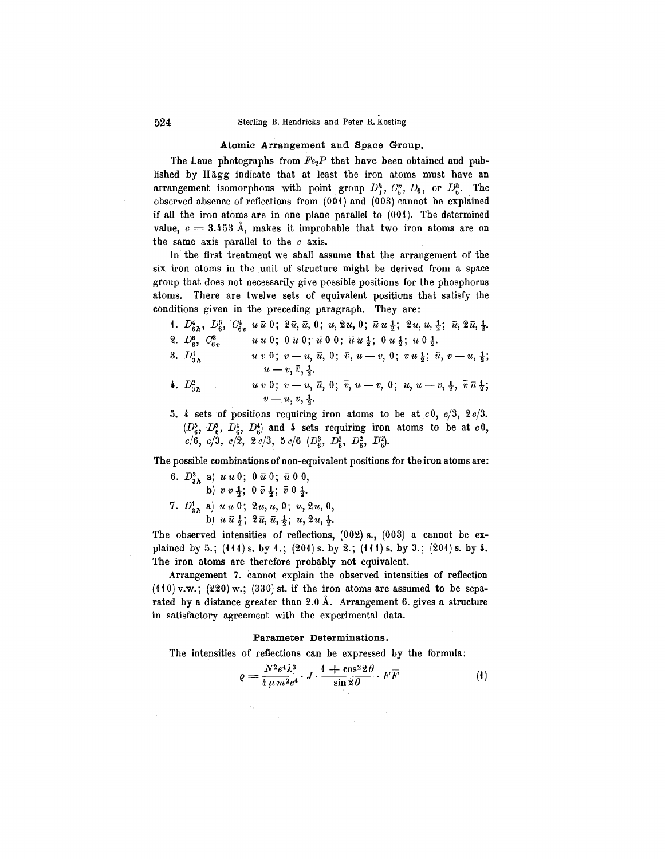#### Atomic Arrangement and Space Group.

The Laue photographs from  $FeP$  that have been obtained and published by Hagg indicate that at least the iron atoms must have an arrangement isomorphous with point group  $D_2^h$ ,  $C_c^v$ ,  $D_6$ , or  $D_6^h$ . The observed absence of reflections from (001) and (003) cannot be explained if all the iron atoms are in one plane parallel to  $(001)$ . The determined value,  $c = 3.453 \text{ Å}$ , makes it improbable that two iron atoms are on the same axis parallel to the *c* axis. .

In the first treatment we shall assume that the arrangement of the six iron atoms in the unit of structure might be derived from a space group that does not necessarily give possible positions for the phosphorus atoms. There are twelve sets of equivalent positions that satisfy the conditions given in the preceding paragraph. They are:

\n- 1. 
$$
D_{6h}^4
$$
,  $D_6^6$ ,  $C_{6v}^4$ ,  $u \bar{u} 0$ ;  $2 \bar{u}$ ,  $\bar{u}$ ,  $0$ ;  $u$ ,  $2u$ ,  $0$ ;  $\bar{u}$ ,  $u \frac{1}{2}$ ;  $2u$ ,  $u$ ,  $\frac{1}{2}$ ;  $\bar{u}$ ,  $2 \bar{u}$ ,  $\frac{1}{2}$ .
\n- 2.  $D_6^8$ ,  $C_{6v}^3$ ,  $u u 0$ ;  $0 \bar{u} 0$ ;  $\bar{u} 0 0$ ;  $\bar{u} \bar{u} \frac{1}{2}$ ;  $0 u \frac{1}{2}$ ;  $u 0 \frac{1}{2}$ .
\n- 3.  $D_{3h}^4$ ,  $u v 0$ ;  $v - u$ ,  $\bar{u}$ ,  $0$ ;  $\bar{v}$ ,  $u - v$ ,  $0$ ;  $v u \frac{1}{2}$ ;  $\bar{u}$ ,  $v - u$ ,  $\frac{1}{2}$ ;  $u - v$ ,  $\bar{v}$ ,  $\frac{1}{2}$ .
\n

- *4.*  $D_{3h}^2$  *uv* 0; *v u*,  $\bar{u}$ , 0;  $\bar{v}$ , *u v*, 0; *u*, *u v*,  $\frac{1}{2}$ ,  $\bar{v} \bar{u} \frac{1}{2}$  $v = u, v, \frac{1}{2}.$
- 5. 4 sets of positions requiring iron atoms to be at *c*0, *c/3,* 2*c/3.*  $(D_6^5, D_6^5, D_6^4, D_6^4)$  and 4 sets requiring iron atoms to be at  $c0$ ,  $\frac{c}{c/6}, \frac{c}{6}, \frac{c}{3}, \frac{c}{2}, \frac{c}{2}, \frac{c}{3}, \frac{c}{3}, \frac{c}{6}, \frac{c}{6}, \frac{c}{3}, \frac{c}{6}, \frac{c}{6}, \frac{c}{3}, \frac{c}{2}, \frac{c}{3}, \frac{c}{3}, \frac{c}{3}, \frac{c}{3}, \frac{c}{3}, \frac{c}{3}, \frac{c}{3}, \frac{c}{3}, \frac{c}{3}, \frac{c}{3}, \frac{c}{3}, \frac{c}{3}, \frac{c}{3}, \frac{c}{3}, \frac{c}{3}, \frac{c}{3}, \frac{c}{3}, \$

The possible combinations of non-equivalent positions for the iron atoms are:

6. 
$$
D_{3h}^3
$$
 a)  $u u 0$ ;  $0 \bar{u} 0$ ;  $\bar{u} 0 0$ ,  
b)  $v v \frac{1}{2}$ ;  $0 \bar{v} \frac{1}{2}$ ;  $\bar{v} 0 \frac{1}{2}$ .  
7.  $D_{3h}^1$  a)  $u \bar{u} 0$ ;  $2 \bar{u}, \bar{u}, 0$ ;  $u, 2u, 0$ ,  
b)  $u \bar{u} \frac{1}{2}$ ;  $2 \bar{u}, \bar{u}, \frac{1}{2}$ ;  $u, 2u, \frac{1}{2}$ .

The observed intensities of reflections, (002) s., (003) a cannot be explained by 5.;  $(111)$  s. by 1.;  $(201)$  s. by 2.;  $(111)$  s. by 3.;  $(201)$  s. by 4. The iron atoms are therefore probably not equivalent.

Arrangement 7. cannot explain the observed intensities of reflection  $(410)$  v.w.;  $(220)$  w.;  $(330)$  st. if the iron atoms are assumed to be separated by a distance greater than  $2.0\text{ Å}$ . Arrangement 6. gives a structure in satisfactory agreement with the experimental data.

#### Parameter Determinations.

The intensities of reflections can be expressed by the formula:

$$
\varrho = \frac{N^2 e^4 \lambda^3}{4 \mu m^2 c^4} \cdot J \cdot \frac{1 + \cos^2 2 \theta}{\sin 2 \theta} \cdot F \overline{F} \tag{4}
$$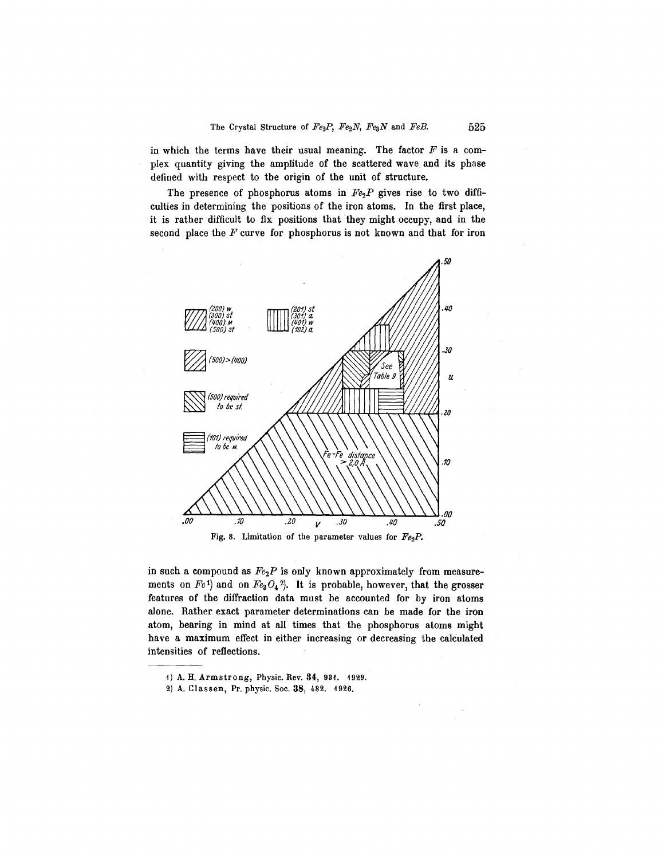in which the terms have their usual meaning. The factor  $F$  is a complex quantity giving the amplitude of the scattered wave and its phase defined with respect to the origin of the unit of structure.

The presence of phosphorus atoms in  $Fe<sub>2</sub>P$  gives rise to two difficulties in determining the positions of the iron atoms. **In** the first place, it is rather difficult to fix positions that they might occupy, and in the second place the *F* curve for phosphorus is not known and that for iron



in such a compound as *Fe2P* is only known approximately from measurements on  $Fe<sup>1</sup>$  and on  $Fe<sub>3</sub>O<sub>4</sub>$ <sup>2</sup>). It is probable, however, that the grosser features of the diffraction data must be accounted for by iron atoms alone. Rather exact parameter determinations can be made for the iron atom, bearing in mind at all times that the phosphorus atoms might have a maximum effect in either increasing or decreasing the calculated intensities of reflections.

<sup>1)</sup> A. H. Armstrong, Physic. Rev. 34, 931. 1929.

<sup>2)</sup> A. Classen, Pr. physic. Soc. 38, 482. 1926.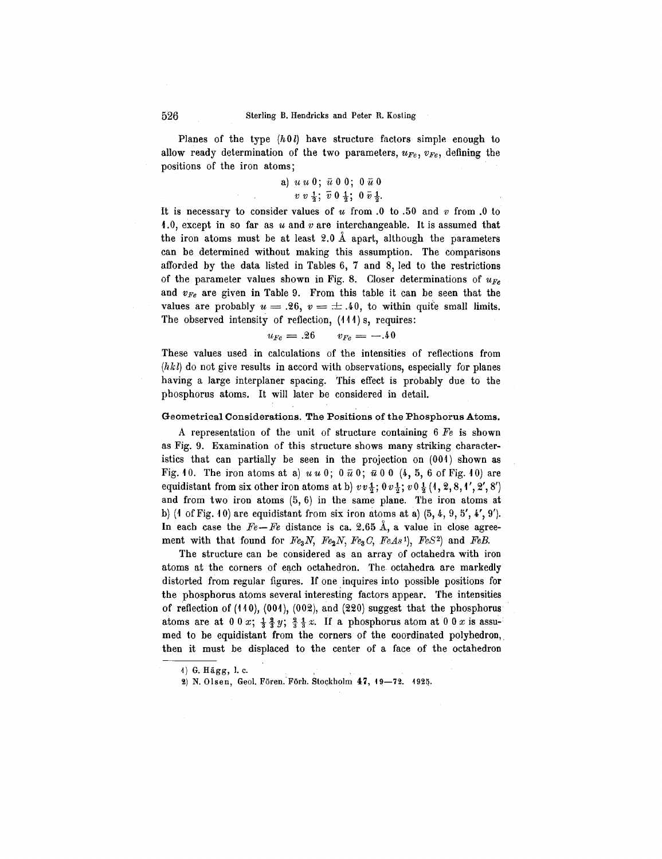Planes of the type *(h*0 *l)* have structure factors simple enough to allow ready determination of the two parameters,  $u_{Fe}$ ,  $v_{Fe}$ , defining the positions of the iron atoms;

## a) *UU* 0; *it* 0 0; 0 *it* 0  $v v \frac{1}{2}$ ;  $\bar{v} 0 \frac{1}{2}$ ;  $0 \bar{v} \frac{1}{2}$ .

It is necessary to consider values of  $u$  from .0 to .50 and  $v$  from .0 to 1.0, except in so far as *U* and *v* are interchangeable. It is assumed that the iron atoms must be at least  $2.0 \text{ Å}$  apart, although the parameters can be determined without making this assumption. The comparisons afforded by the data listed in Tables 6, 7 and 8, led to the restrictions of the parameter values shown in Fig. 8. Closer determinations of  $u_{Fe}$ and *VFe* are given in Table 9. From this table it can be seen that the values are probably  $u = .26$ ,  $v = \pm .40$ , to within quite small limits. The observed intensity of reflection, **(111)** s, requires:

$$
u_{Fe} = .26 \qquad v_{Fe} = -.40
$$

These values used in calculations of the intensities of reflections from  $(hkl)$  do not give results in accord with observations, especially for planes having a large interplaner spacing. This effect is probably due to the phosphorus atoms. It will later be considered in detail.

#### Geometrical Considerations. The Positions of the Phosphorus Atoms.

A representation of the unit of structure containing 6 *Fe* is shown as Fig. 9. Examination of this structure shows many striking characteristics that can partially be seen in the projection on (001) shown as Fig. 10. The iron atoms at a)  $u u 0$ ;  $0 \bar{u} 0$ ;  $\bar{u} 0 0$  (4, 5, 6 of Fig. 10) are equidistant from six other iron atoms at b)  $vv_3$ ;  $0v_3$ ;  $v_0$ <sub>3</sub>;  $(1,2,8,1',2',8')$ and from two iron atoms (5, 6) in the same plane. The iron atoms at b) (4 of Fig. 40) are equidistant from six iron atoms at a)  $(5, 4, 9, 5', 4', 9')$ . In each case the  $Fe-Fe$  distance is ca. 2.65  $\AA$ , a value in close agreement with that found for *Fe3N, Fe2N, Fe3*G, *FeAst), FeS2)* and *FeE.*

The structure can be considered as an array of octahedra with iron atoms at the corners of each octahedron. The octahedra are markedly distorted from regular figures. If one inquires into possible positions for the phosphorus atoms several interesting factors appear. The intensities of reflection of (110), (001), (002), and (220) suggest that the phosphorus atoms are at  $0 \cdot 0 \cdot x$ ;  $\frac{1}{2} \frac{2}{3} \cdot y$ ;  $\frac{2}{3} \cdot \frac{1}{3} \cdot x$ . If a phosphorus atom at  $0 \cdot 0 \cdot x$  is assumed to be equidistant from the corners of the coordinated polyhedron, then it must be displaced to the center of a face of the octahedron

<sup>4)</sup> G. Hägg, l. c.

<sup>2)</sup> N. Olsen, Geol. Fören. Förh. Stockholm 47, 19-72. 1925.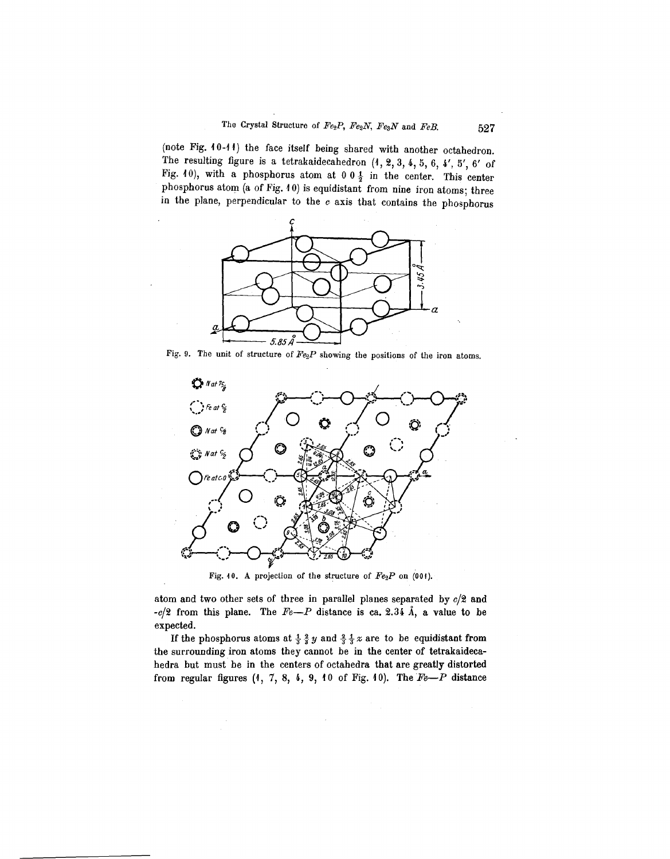(note Fig. 10-11) the face itself being shared with another octahedron. The resulting figure is a tetrakaidecahedron  $(1, 2, 3, 4, 5, 6, 4', 5', 6'$  of Fig. 10), with a phosphorus atom at 0 0  $\frac{1}{2}$  in the center. This center phosphorus atom (a of Fig. 10) is equidistant from nine iron atoms; three in the plane, perpendicular to the  $c$  axis that contains the phosphorus



Fig. 9. The unit of structure of  $Fe<sub>2</sub>P$  showing the positions of the iron atoms.



Fig. 10. A projection of the structure of *Fe2P* on (001).

atom and two other sets of three in parallel planes separated by *c/2* and  $-c/2$  from this plane. The  $Fe-P$  distance is ca. 2.34 Å, a value to be expected.

If the phosphorus atoms at  $\frac{1}{3}$   $\frac{2}{3}$   $y$  and  $\frac{2}{3}$   $\frac{1}{3}$   $x$  are to be equidistant from the surrounding iron atoms they cannot be in the center of tetrakaidecahedra but must be in the centers of octahedra that are greatly distorted from regular figures  $(1, 7, 8, 4, 9, 10$  of Fig. 10). The  $Fe-P$  distance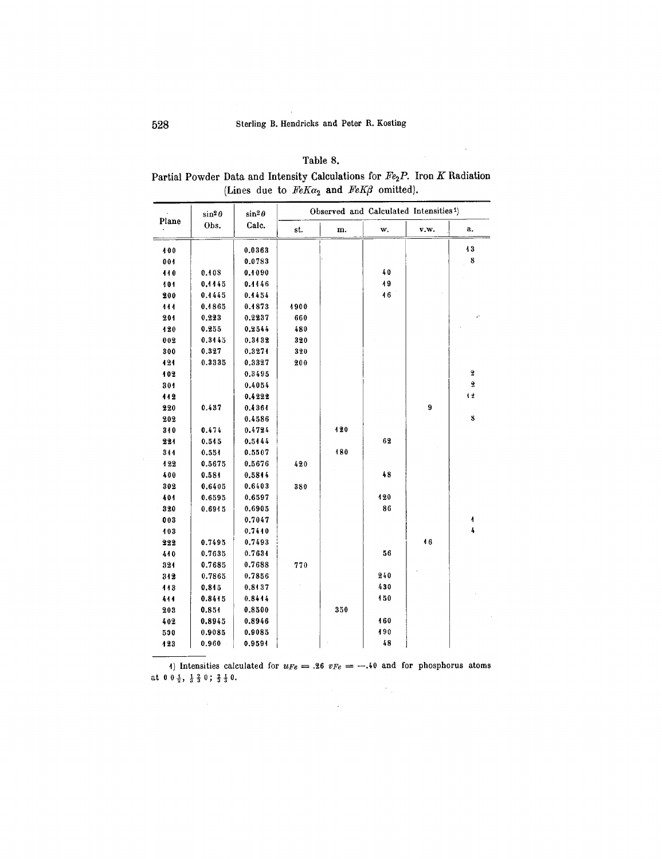## Table 8.

 $\mathcal{L}^{\text{max}}_{\text{max}}$ 

| Partial Powder Data and Intensity Calculations for Fe <sub>2</sub> P. Iron K Radiation |
|----------------------------------------------------------------------------------------|
| (Lines due to $FeK\alpha_2$ and $FeK\beta$ omitted).                                   |

|       | $\sin^2\theta$ | $\sin^2\theta$<br>Calc. | Observed and Calculated Intensities <sup>1</sup> ) |     |     |      |                         |  |  |  |
|-------|----------------|-------------------------|----------------------------------------------------|-----|-----|------|-------------------------|--|--|--|
| Plane | Obs.           |                         | st.                                                | m.  | w.  | v.w. | а.                      |  |  |  |
| 400   |                | 0.0363                  |                                                    |     |     |      | 43                      |  |  |  |
| 001   |                | 0.0783                  |                                                    |     |     |      | 8                       |  |  |  |
| 440   | 0.408          | 0.1090                  |                                                    |     | 40  |      |                         |  |  |  |
| 101   | 0,4445         | 0.4446                  |                                                    |     | 19  |      |                         |  |  |  |
| 200   | 0.4445         | 0.4454                  |                                                    |     | 16  |      |                         |  |  |  |
| 444   | 0.4865         | 0.4873                  | 4900                                               |     |     |      |                         |  |  |  |
| 201   | 0.223          | 0.2237                  | 660                                                |     |     |      |                         |  |  |  |
| 120   | 0.255          | 0.2544                  | 480                                                |     |     |      |                         |  |  |  |
| 002   | 0.3445         | 0.3432                  | 320                                                |     |     |      |                         |  |  |  |
| 300   | 0.327          | 0.3274                  | 320                                                |     |     |      |                         |  |  |  |
| 121   | 0.3335         | 0.3327                  | 200                                                |     |     |      |                         |  |  |  |
| 102   |                | 0.3495                  |                                                    |     |     |      | $\overline{\mathbf{2}}$ |  |  |  |
| 301   |                | 0.4054                  |                                                    |     |     |      | $\overline{\mathbf{2}}$ |  |  |  |
| 112   |                | 0.4222                  |                                                    |     |     |      | 仕                       |  |  |  |
| 220   | 0.437          | 0.4364                  |                                                    |     |     | 9    |                         |  |  |  |
| 202   |                | 0.4586                  |                                                    |     |     |      | $\bf{8}$                |  |  |  |
| 310   | 0.474          | 0.4724                  |                                                    | 420 |     |      |                         |  |  |  |
| 221   | 0.545          | 0.5444                  |                                                    |     | 62  |      |                         |  |  |  |
| 344   | 0.551          | 0.5507                  |                                                    | 180 |     |      |                         |  |  |  |
| 122   | 0.5675         | 0.5676                  | 420                                                |     |     |      |                         |  |  |  |
| 400   | 0.584          | 0.5844                  |                                                    |     | 48  |      |                         |  |  |  |
| 302   | 0.6405         | 0.6403                  | 380                                                |     |     |      |                         |  |  |  |
| 401   | 0.6595         | 0.6597                  |                                                    |     | 120 |      |                         |  |  |  |
| 320   | 0.6915         | 0.6905                  |                                                    |     | 86  |      |                         |  |  |  |
| 003   |                | 0.7047                  |                                                    |     |     |      | $\sqrt{ }$              |  |  |  |
| 103   |                | 0.7440                  |                                                    |     |     |      | 4                       |  |  |  |
| 222   | 0.7495         | 0.7493                  |                                                    |     |     | 46   |                         |  |  |  |
| 440   | 0.7635         | 0.7634                  |                                                    |     | 56  |      |                         |  |  |  |
| 324   | 0.7685         | 0.7688                  | 770                                                |     |     |      |                         |  |  |  |
| 312   | 0.7865         | 0.7856                  |                                                    |     | 240 |      |                         |  |  |  |
| 113   | 0.845          | 0.8137                  |                                                    |     | 430 |      |                         |  |  |  |
| 444   | 0.8445         | 0.8414                  |                                                    |     | 150 |      |                         |  |  |  |
| 203   | 0.854          | 0.8500                  |                                                    | 350 |     |      |                         |  |  |  |
| 402   | 0.8945         | 0.8946                  |                                                    |     | 160 |      |                         |  |  |  |
| 590   | 0.9085         | 0.9085                  |                                                    |     | 490 |      |                         |  |  |  |
| 123   | 0.960          | 0.9594                  |                                                    |     | 48  |      |                         |  |  |  |

4) Intensities calculated for  $u_{Fe} = .26$   $v_{Fe} = -.40$  and for phosphorus atoms at  $0 \frac{1}{2}$ ,  $\frac{1}{3} \frac{2}{3} 0$ ;  $\frac{2}{3} \frac{1}{3} 0$ .  $\label{eq:2} \begin{split} \mathcal{L}_{\text{max}}(\mathbf{r},\mathbf{r}) = \mathcal{L}_{\text{max}}(\mathbf{r},\mathbf{r}) \mathcal{L}_{\text{max}}(\mathbf{r},\mathbf{r}) \mathcal{L}_{\text{max}}(\mathbf{r},\mathbf{r}) \mathcal{L}_{\text{max}}(\mathbf{r},\mathbf{r},\mathbf{r}) \mathcal{L}_{\text{max}}(\mathbf{r},\mathbf{r},\mathbf{r},\mathbf{r}) \mathcal{L}_{\text{max}}(\mathbf{r},\mathbf{r},\mathbf{r},\mathbf{r},\mathbf{r},\mathbf{r},\mathbf{$ 

 $\sim 10^{-1}$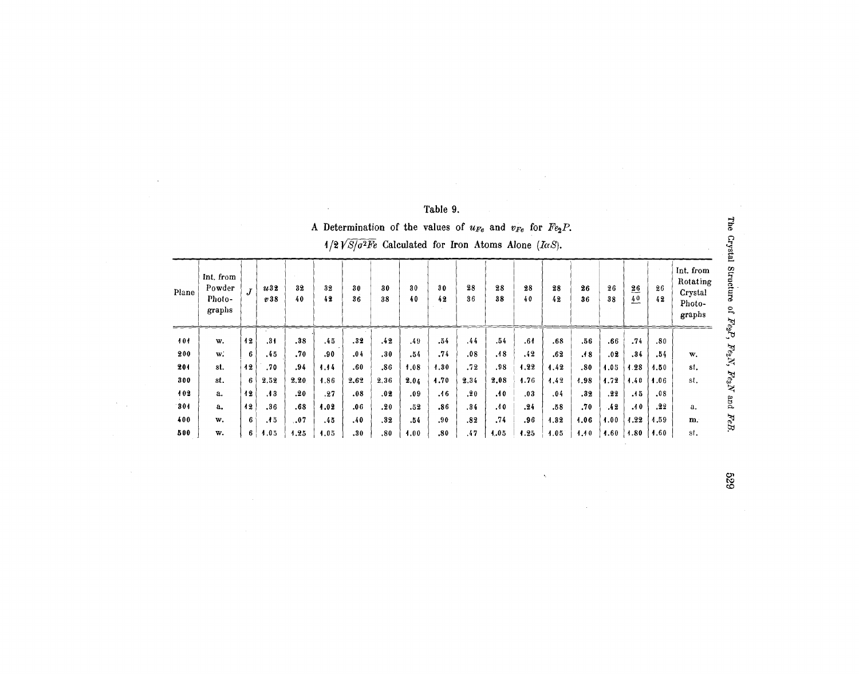| A Determination of the values of $u_{Fe}$ and $v_{Fe}$ for $Fe2P$ .<br>$1/2 \sqrt{S/\sigma^2}$ Calculated for Iron Atoms Alone ( <i>IaS</i> ). |  |  |  |  |  |  |  |  |  |  |
|------------------------------------------------------------------------------------------------------------------------------------------------|--|--|--|--|--|--|--|--|--|--|
|                                                                                                                                                |  |  |  |  |  |  |  |  |  |  |

| Plane | Int. from<br>Powder<br>Photo-<br>graphs | J              | u32<br>v38 | 32<br>40 | 32<br>42 | 30<br>36 | 30<br>38 | 30<br>40 | 30<br>42 | 28<br>36 | 28<br>38 | 28<br>40 | 28<br>42 | 26<br>36 | 26<br>38 | 26<br>40 | 26<br>42 | Int. from<br>Rotating<br>Crystal<br>Photo-<br>graphs |
|-------|-----------------------------------------|----------------|------------|----------|----------|----------|----------|----------|----------|----------|----------|----------|----------|----------|----------|----------|----------|------------------------------------------------------|
| 101   | w.                                      | 12             | .34        | .38      | .45      | .32      | .42      | .49      | .54      | .44      | .54      | .64      | .68      | .56      | .66      | .74      | .80      |                                                      |
| 200   | w.                                      | 6              | .45        | .70      | .90      | .04      | .30      | .54      | .74      | .08      | .48      | .42      | .62      | .18      | .02      | .34      | .54      | w.                                                   |
| 201   | st.                                     | 12             | .70        | .94      | 1.14     | .60      | .86      | 1.08     | 1.30     | .72      | .98      | 1.22     | 1.42     | .80      | 1.05     | 1.28     | 4.50     | st.                                                  |
| 300   | st.                                     | 6 <sup>1</sup> | 2.52       | 2.20     | 1.86     | 2.62     | 2,36     | 2.04     | 1.70     | 2.34     | 2,08     | 4.76     | 1.42     | 1.98     | 1.72     | 4.40     | 1.06     | st.                                                  |
| 402   | a.                                      | 12             | .43        | .20      | .27      | .08      | .02      | .09      | .46      | .20      | .40      | .03      | .04      | .32      | .22      | .45      | .08      |                                                      |
| 304   | $a_{\bullet}$                           | 12             | .36        | .68      | 4.02     | .06      | .20      | .52      | .86      | .34      | .40      | .24      | .58      | .70      | .42      | .40      | .22      | a.                                                   |
| 400   | w.                                      | 6              | .45        | .07      | .45      | .40      | .32      | .54      | .90      | .82      | .74      | .96      | 1.32     | 4.06     | 1.00     | 1.22     | 1.59     | m.                                                   |
| 500   | w.                                      | 6 <sup>1</sup> | 1.05       | 1.25     | 4.05     | .30      | .80      | 4.00     | .80      | .47      | 1.05     | 1.25     | 1.05     | 1.10     | 4.60     | 1.80     | 4.60     | st.                                                  |

The Crystal Str  $F_{\ell s} P$  $F_{e_3}$  $\dot{\varepsilon}$ Fior .<br>≧ ž  $FeB$ 

639

# Table 9.

 $\sim$ 

 $\left\vert \cdot\right\vert$ 

 $\sim$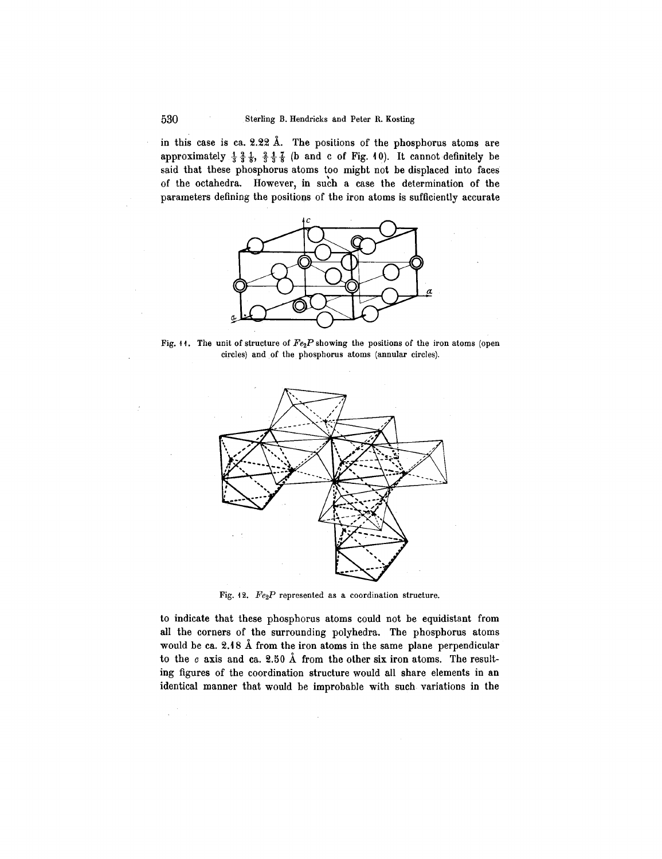in this case is ca.  $2.22 \text{ Å}$ . The positions of the phosphorus atoms are approximately  $\frac{1}{3}$   $\frac{2}{3}$   $\frac{1}{3}$ ,  $\frac{2}{3}$   $\frac{1}{3}$  (b and c of Fig. 10). It cannot definitely be said that these phosphorus atoms too might not be displaced into faces of the octahedra. However, in such a case the determination of the parameters defining the positions of the iron atoms is sufficiently accurate



Fig. 11. The unit of structure of  $Fe<sub>2</sub>P$  showing the positions of the iron atoms (open circles) and of the phosphorus atoms (annular circles).



Fig. 12. *Fe2P* represented as a coordination structure.

to indicate that these phosphorus atoms could not be equidistant from all the corners of the surrounding polyhedra. The phosphorus atoms would be ca.  $2.18$  Å from the iron atoms in the same plane perpendicular to the  $c$  axis and ca. 2.50 Å from the other six iron atoms. The resulting figures of the coordination structure would all share elements in an identical manner that would be improbable with such variations in the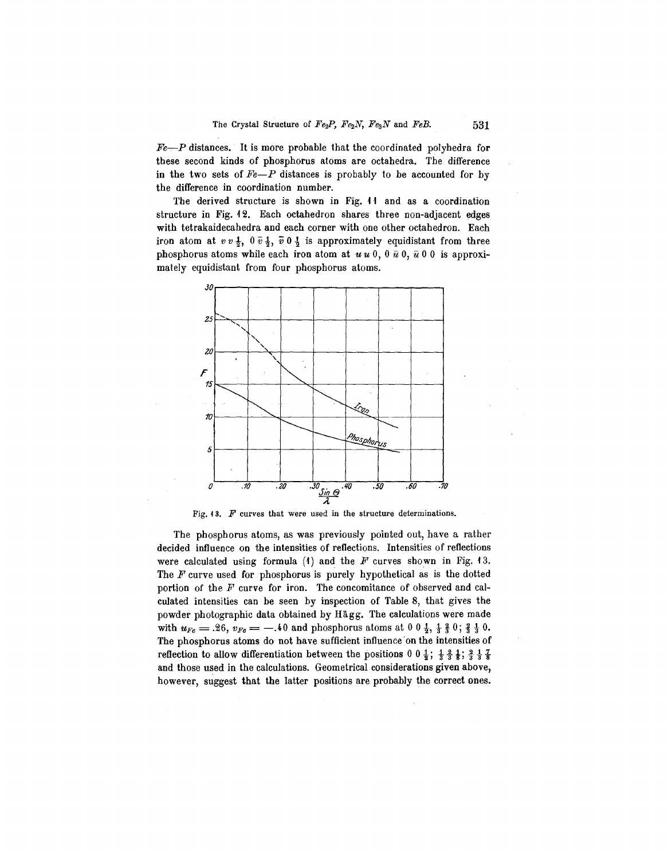*Fe~P* distances. It is more probable that the coordinated polyhedra for these second kinds of phosphorus atoms are octahedra. The difference in the two sets of *Fe-P* distances is probably to be accounted for by the difference in coordination number.

The derived structure is shown in Fig. 11 and as a coordination structure in Fig. 12. Each octahedron shares three non-adjacent edges with tetrakaidecahedra and each corner with one other octahedron. Each iron atom at  $vv \frac{1}{2}$ ,  $0 \overline{v} \frac{1}{2}$ ,  $\overline{v} \cdot 0 \frac{1}{2}$  is approximately equidistant from three phosphorus atoms while each iron atom at  $u u 0$ ,  $0 \bar{u} 0$ ,  $\bar{u} 0 0$  is approximately equidistant from four phosphorus atoms.



Fig.  $13.$  *F* curves that were used in the structure determinations.

The phosphorus atoms, as was previously pointed out, have a rather decided influence on the intensities of reflections. Intensities of reflections were calculated using formula  $(1)$  and the *F* curves shown in Fig. 13. The *F* curve used for phosphorus is purely hypothetical as is the dotted portion of the *F* curve for iron. The concomitance of observed and calculated intensities can be seen by inspection of Table 8, that gives the powder photographic data obtained by Hagg. The calculations were made with  $u_{Fe} = .26$ ,  $v_{Fe} = -.40$  and phosphorus atoms at  $0.0 \frac{1}{2}$ ,  $\frac{1}{3} \frac{2}{3} 0$ ;  $\frac{2}{3} \frac{1}{3} 0$ . The phosphorus atoms do not have sufficient influence 'on the intensities of reflection to allow differentiation between the positions  $0 \frac{1}{2}$ ;  $\frac{1}{3} \frac{2}{3}$ ;  $\frac{1}{3} \frac{7}{3}$ and those used in the calculations. Geometrical considerations given above, however, suggest that the latter positions are probably the correct ones.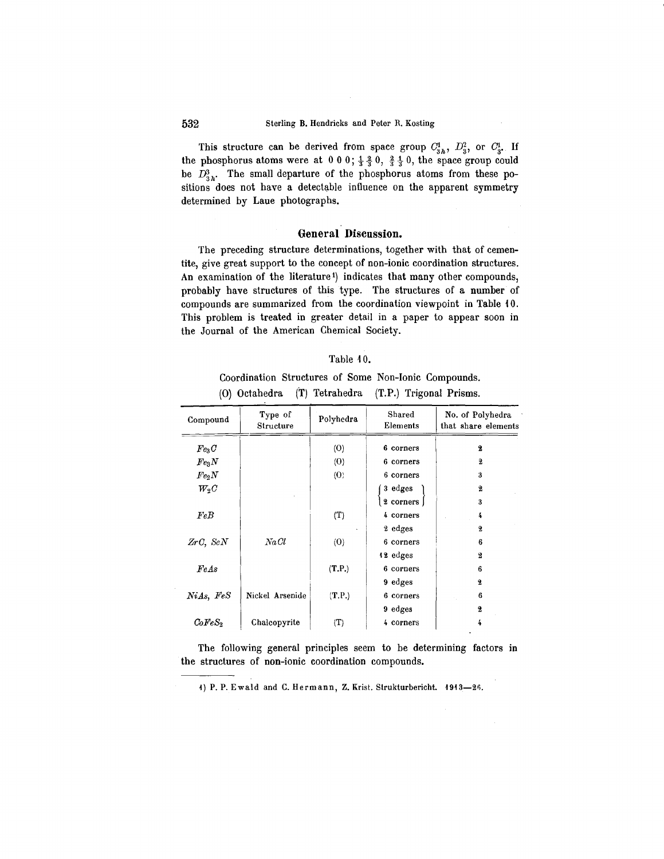This structure can be derived from space group  $C_{3h}^1$ ,  $D_{3}^2$ , or  $C_3^1$ . If the phosphorus atoms were at  $0\ 0\ 0$ ;  $\frac{1}{3}\frac{2}{3}\ 0$ ,  $\frac{3}{3}\frac{1}{3}\ 0$ , the space group could be  $D_{3h}^3$ . The small departure of the phosphorus atoms from these positions does not have a detectable influence on the apparent symmetry determined by Laue photographs.

## **General Discussion.**

The preceding structure determinations, together with that of cementite, give great support to the concept of non-ionic coordination structures. An examination of the literature<sup>1</sup>) indicates that many other compounds, probably have structures of this type. The structures of a number of compounds are summarized from the coordination viewpoint in Table 10. This problem is treated in greater detail in a paper to appear soon in the Journal of the American Chemical Society.

| Table 40. |  |
|-----------|--|
|-----------|--|

Coordination Structures of Some Non-Ionic Compounds. (0) Octahedra (T) Tetrahedra (T.P.) Trigonal Prisms.

| Compound          | Type of<br>Structure | Polyhedra           | Shared<br>Elements | No. of Polyhedra<br>that share elements |
|-------------------|----------------------|---------------------|--------------------|-----------------------------------------|
| Fe <sub>3</sub> C |                      | $\langle O \rangle$ | 6 corners          | 2                                       |
| $Fe_3N$           |                      | (0)                 | 6 corners          | 2                                       |
| $Fe_2N$           |                      | $\langle O \rangle$ | 6 corners          | 3                                       |
| $W_2C$            |                      |                     | 3 edges            | 2                                       |
|                   |                      |                     | 2 corners          | 3                                       |
| FeB               |                      | (T)                 | 4 corners          | 4                                       |
|                   |                      |                     | 2 edges            | 2                                       |
| $ZrC$ , $ScN$     | NaCl                 | (0)                 | 6 corners          | 6                                       |
|                   |                      |                     | 12 edges           | $\mathbf{2}$                            |
| FeAs              |                      | (T.P.)              | 6 corners          | 6                                       |
|                   |                      |                     | 9 edges            | 2                                       |
| NiAs, FeS         | Nickel Arsenide      | (T.P.)              | 6 corners          | 6                                       |
|                   |                      |                     | 9 edges            | 2                                       |
| $CoFeS_2$         | Chalcopyrite         | (T)                 | 4 corners          | 4                                       |

The following general principles seem to be determining factors in the structures of non-ionic coordination compounds.

1) P. P. Ewald and C. Hermann, Z. Krist. Strukturbericht.  $1913-26$ .